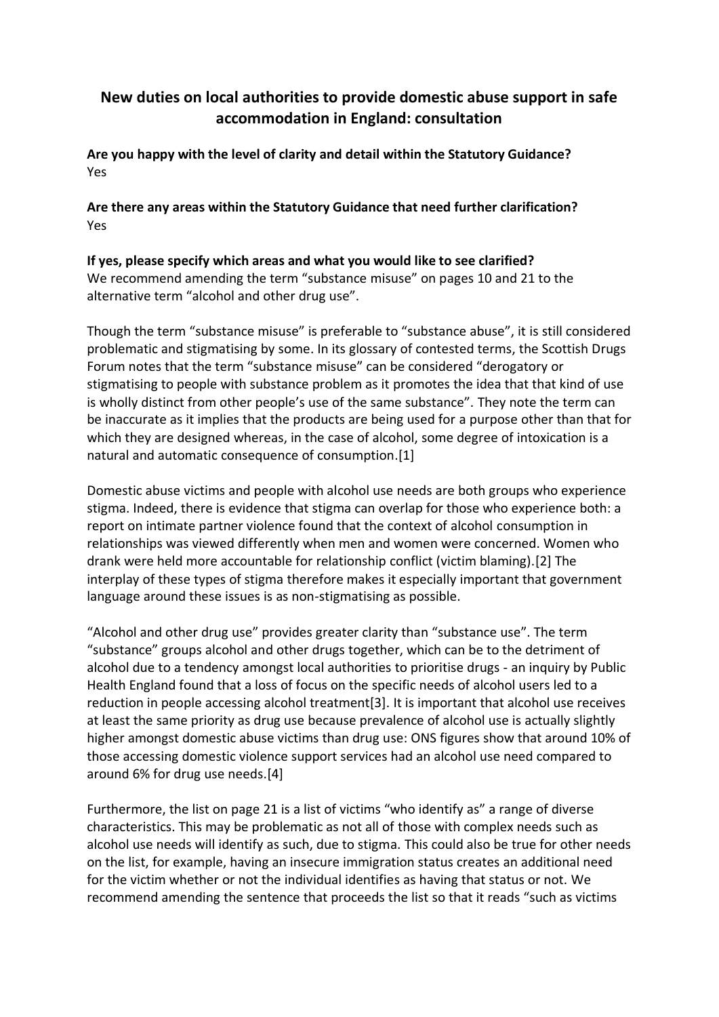## **New duties on local authorities to provide domestic abuse support in safe accommodation in England: consultation**

**Are you happy with the level of clarity and detail within the Statutory Guidance?**  Yes

**Are there any areas within the Statutory Guidance that need further clarification?**  Yes

**If yes, please specify which areas and what you would like to see clarified?**  We recommend amending the term "substance misuse" on pages 10 and 21 to the alternative term "alcohol and other drug use".

Though the term "substance misuse" is preferable to "substance abuse", it is still considered problematic and stigmatising by some. In its glossary of contested terms, the Scottish Drugs Forum notes that the term "substance misuse" can be considered "derogatory or stigmatising to people with substance problem as it promotes the idea that that kind of use is wholly distinct from other people's use of the same substance". They note the term can be inaccurate as it implies that the products are being used for a purpose other than that for which they are designed whereas, in the case of alcohol, some degree of intoxication is a natural and automatic consequence of consumption.[1]

Domestic abuse victims and people with alcohol use needs are both groups who experience stigma. Indeed, there is evidence that stigma can overlap for those who experience both: a report on intimate partner violence found that the context of alcohol consumption in relationships was viewed differently when men and women were concerned. Women who drank were held more accountable for relationship conflict (victim blaming).[2] The interplay of these types of stigma therefore makes it especially important that government language around these issues is as non-stigmatising as possible.

"Alcohol and other drug use" provides greater clarity than "substance use". The term "substance" groups alcohol and other drugs together, which can be to the detriment of alcohol due to a tendency amongst local authorities to prioritise drugs - an inquiry by Public Health England found that a loss of focus on the specific needs of alcohol users led to a reduction in people accessing alcohol treatment[3]. It is important that alcohol use receives at least the same priority as drug use because prevalence of alcohol use is actually slightly higher amongst domestic abuse victims than drug use: ONS figures show that around 10% of those accessing domestic violence support services had an alcohol use need compared to around 6% for drug use needs.[4]

Furthermore, the list on page 21 is a list of victims "who identify as" a range of diverse characteristics. This may be problematic as not all of those with complex needs such as alcohol use needs will identify as such, due to stigma. This could also be true for other needs on the list, for example, having an insecure immigration status creates an additional need for the victim whether or not the individual identifies as having that status or not. We recommend amending the sentence that proceeds the list so that it reads "such as victims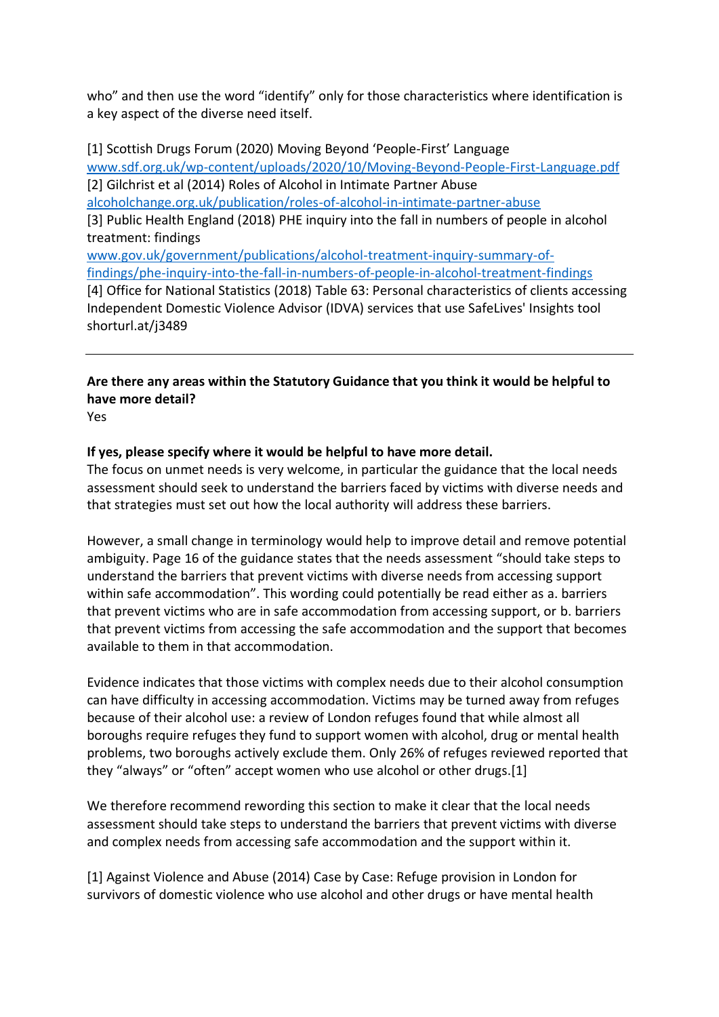who" and then use the word "identify" only for those characteristics where identification is a key aspect of the diverse need itself.

[1] Scottish Drugs Forum (2020) Moving Beyond 'People-First' Language [www.sdf.org.uk/wp-content/uploads/2020/10/Moving-Beyond-People-First-Language.pdf](http://www.sdf.org.uk/wp-content/uploads/2020/10/Moving-Beyond-People-First-Language.pdf) [2] Gilchrist et al (2014) Roles of Alcohol in Intimate Partner Abuse [alcoholchange.org.uk/publication/roles-of-alcohol-in-intimate-partner-abuse](https://alcoholchange.org.uk/publication/roles-of-alcohol-in-intimate-partner-abuse) [3] Public Health England (2018) PHE inquiry into the fall in numbers of people in alcohol treatment: findings [www.gov.uk/government/publications/alcohol-treatment-inquiry-summary-of](http://www.gov.uk/government/publications/alcohol-treatment-inquiry-summary-of-findings/phe-inquiry-into-the-fall-in-numbers-of-people-in-alcohol-treatment-findings)[findings/phe-inquiry-into-the-fall-in-numbers-of-people-in-alcohol-treatment-findings](http://www.gov.uk/government/publications/alcohol-treatment-inquiry-summary-of-findings/phe-inquiry-into-the-fall-in-numbers-of-people-in-alcohol-treatment-findings) [4] Office for National Statistics (2018) Table 63: Personal characteristics of clients accessing Independent Domestic Violence Advisor (IDVA) services that use SafeLives' Insights tool shorturl.at/j3489

**Are there any areas within the Statutory Guidance that you think it would be helpful to have more detail?** 

Yes

#### **If yes, please specify where it would be helpful to have more detail.**

The focus on unmet needs is very welcome, in particular the guidance that the local needs assessment should seek to understand the barriers faced by victims with diverse needs and that strategies must set out how the local authority will address these barriers.

However, a small change in terminology would help to improve detail and remove potential ambiguity. Page 16 of the guidance states that the needs assessment "should take steps to understand the barriers that prevent victims with diverse needs from accessing support within safe accommodation". This wording could potentially be read either as a. barriers that prevent victims who are in safe accommodation from accessing support, or b. barriers that prevent victims from accessing the safe accommodation and the support that becomes available to them in that accommodation.

Evidence indicates that those victims with complex needs due to their alcohol consumption can have difficulty in accessing accommodation. Victims may be turned away from refuges because of their alcohol use: a review of London refuges found that while almost all boroughs require refuges they fund to support women with alcohol, drug or mental health problems, two boroughs actively exclude them. Only 26% of refuges reviewed reported that they "always" or "often" accept women who use alcohol or other drugs.[1]

We therefore recommend rewording this section to make it clear that the local needs assessment should take steps to understand the barriers that prevent victims with diverse and complex needs from accessing safe accommodation and the support within it.

[1] Against Violence and Abuse (2014) Case by Case: Refuge provision in London for survivors of domestic violence who use alcohol and other drugs or have mental health